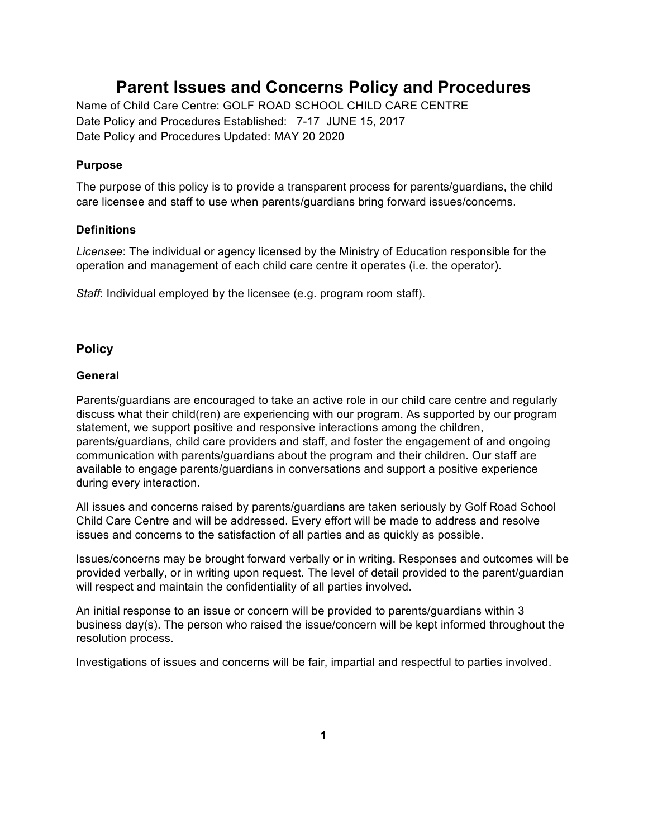# **Parent Issues and Concerns Policy and Procedures**

Name of Child Care Centre: GOLF ROAD SCHOOL CHILD CARE CENTRE Date Policy and Procedures Established: 7-17 JUNE 15, 2017 Date Policy and Procedures Updated: MAY 20 2020

### **Purpose**

The purpose of this policy is to provide a transparent process for parents/guardians, the child care licensee and staff to use when parents/guardians bring forward issues/concerns.

## **Definitions**

*Licensee*: The individual or agency licensed by the Ministry of Education responsible for the operation and management of each child care centre it operates (i.e. the operator).

*Staff*: Individual employed by the licensee (e.g. program room staff).

## **Policy**

### **General**

Parents/guardians are encouraged to take an active role in our child care centre and regularly discuss what their child(ren) are experiencing with our program. As supported by our program statement, we support positive and responsive interactions among the children, parents/guardians, child care providers and staff, and foster the engagement of and ongoing communication with parents/guardians about the program and their children. Our staff are available to engage parents/guardians in conversations and support a positive experience during every interaction.

All issues and concerns raised by parents/guardians are taken seriously by Golf Road School Child Care Centre and will be addressed. Every effort will be made to address and resolve issues and concerns to the satisfaction of all parties and as quickly as possible.

Issues/concerns may be brought forward verbally or in writing. Responses and outcomes will be provided verbally, or in writing upon request. The level of detail provided to the parent/guardian will respect and maintain the confidentiality of all parties involved.

An initial response to an issue or concern will be provided to parents/guardians within 3 business day(s). The person who raised the issue/concern will be kept informed throughout the resolution process.

Investigations of issues and concerns will be fair, impartial and respectful to parties involved.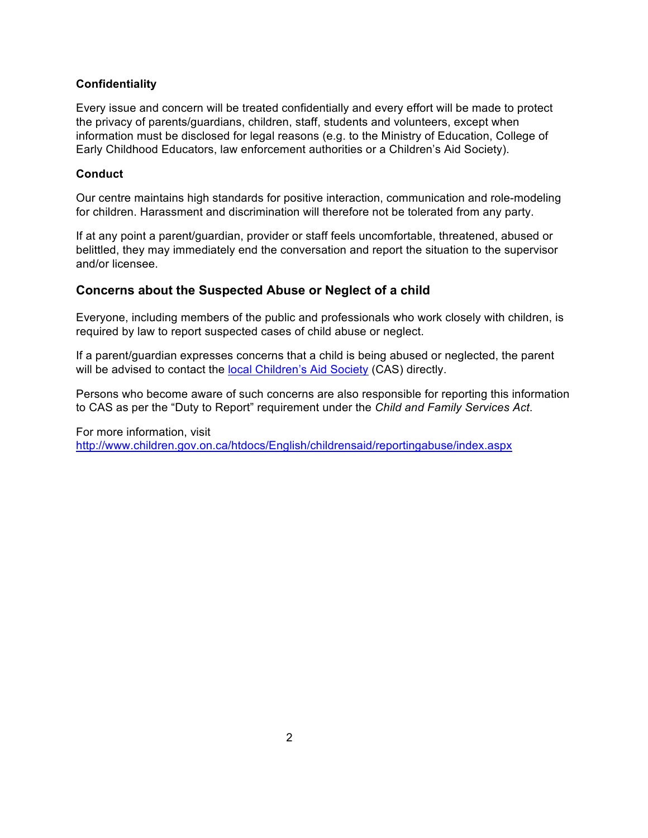### **Confidentiality**

Every issue and concern will be treated confidentially and every effort will be made to protect the privacy of parents/guardians, children, staff, students and volunteers, except when information must be disclosed for legal reasons (e.g. to the Ministry of Education, College of Early Childhood Educators, law enforcement authorities or a Children's Aid Society).

#### **Conduct**

Our centre maintains high standards for positive interaction, communication and role-modeling for children. Harassment and discrimination will therefore not be tolerated from any party.

If at any point a parent/guardian, provider or staff feels uncomfortable, threatened, abused or belittled, they may immediately end the conversation and report the situation to the supervisor and/or licensee.

## **Concerns about the Suspected Abuse or Neglect of a child**

Everyone, including members of the public and professionals who work closely with children, is required by law to report suspected cases of child abuse or neglect.

If a parent/guardian expresses concerns that a child is being abused or neglected, the parent will be advised to contact the local Children's Aid Society (CAS) directly.

Persons who become aware of such concerns are also responsible for reporting this information to CAS as per the "Duty to Report" requirement under the *Child and Family Services Act*.

For more information, visit

http://www.children.gov.on.ca/htdocs/English/childrensaid/reportingabuse/index.aspx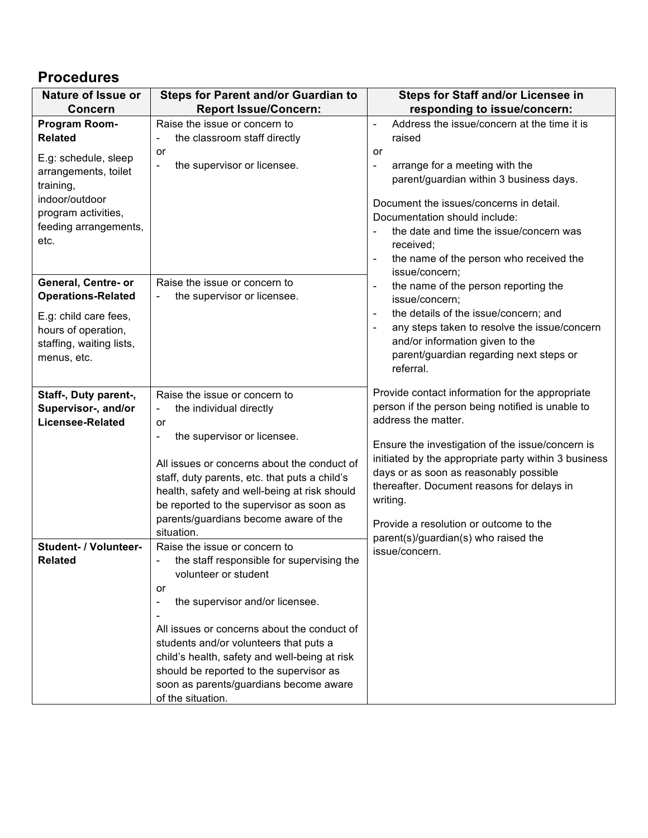# **Procedures**

| <b>Nature of Issue or</b>                                                                                                           | <b>Steps for Parent and/or Guardian to</b>                                                                                                                                                                                                                                                                      | <b>Steps for Staff and/or Licensee in</b>                                                                                                                                                                                                                                                                        |
|-------------------------------------------------------------------------------------------------------------------------------------|-----------------------------------------------------------------------------------------------------------------------------------------------------------------------------------------------------------------------------------------------------------------------------------------------------------------|------------------------------------------------------------------------------------------------------------------------------------------------------------------------------------------------------------------------------------------------------------------------------------------------------------------|
| <b>Concern</b>                                                                                                                      | <b>Report Issue/Concern:</b>                                                                                                                                                                                                                                                                                    | responding to issue/concern:                                                                                                                                                                                                                                                                                     |
| Program Room-<br><b>Related</b>                                                                                                     | Raise the issue or concern to<br>the classroom staff directly<br>or                                                                                                                                                                                                                                             | Address the issue/concern at the time it is<br>$\blacksquare$<br>raised<br>or                                                                                                                                                                                                                                    |
| E.g: schedule, sleep<br>arrangements, toilet<br>training,<br>indoor/outdoor<br>program activities,<br>feeding arrangements,<br>etc. | the supervisor or licensee.<br>$\blacksquare$                                                                                                                                                                                                                                                                   | arrange for a meeting with the<br>$\blacksquare$<br>parent/guardian within 3 business days.<br>Document the issues/concerns in detail.<br>Documentation should include:<br>the date and time the issue/concern was<br>received;<br>the name of the person who received the<br>$\blacksquare$<br>issue/concern;   |
| General, Centre- or<br><b>Operations-Related</b>                                                                                    | Raise the issue or concern to<br>the supervisor or licensee.                                                                                                                                                                                                                                                    | the name of the person reporting the<br>$\blacksquare$<br>issue/concern;                                                                                                                                                                                                                                         |
| E.g: child care fees,<br>hours of operation,<br>staffing, waiting lists,<br>menus, etc.                                             |                                                                                                                                                                                                                                                                                                                 | the details of the issue/concern; and<br>any steps taken to resolve the issue/concern<br>and/or information given to the<br>parent/guardian regarding next steps or<br>referral.                                                                                                                                 |
| Staff-, Duty parent-,<br>Supervisor-, and/or<br><b>Licensee-Related</b>                                                             | Raise the issue or concern to<br>the individual directly<br>$\blacksquare$<br>or                                                                                                                                                                                                                                | Provide contact information for the appropriate<br>person if the person being notified is unable to<br>address the matter.                                                                                                                                                                                       |
|                                                                                                                                     | the supervisor or licensee.<br>$\blacksquare$<br>All issues or concerns about the conduct of<br>staff, duty parents, etc. that puts a child's<br>health, safety and well-being at risk should<br>be reported to the supervisor as soon as<br>parents/guardians become aware of the<br>situation.                | Ensure the investigation of the issue/concern is<br>initiated by the appropriate party within 3 business<br>days or as soon as reasonably possible<br>thereafter. Document reasons for delays in<br>writing.<br>Provide a resolution or outcome to the<br>parent(s)/guardian(s) who raised the<br>issue/concern. |
| <b>Student- / Volunteer-</b><br><b>Related</b>                                                                                      | Raise the issue or concern to<br>the staff responsible for supervising the<br>volunteer or student<br>or                                                                                                                                                                                                        |                                                                                                                                                                                                                                                                                                                  |
|                                                                                                                                     | the supervisor and/or licensee.<br>$\overline{\phantom{a}}$<br>All issues or concerns about the conduct of<br>students and/or volunteers that puts a<br>child's health, safety and well-being at risk<br>should be reported to the supervisor as<br>soon as parents/guardians become aware<br>of the situation. |                                                                                                                                                                                                                                                                                                                  |